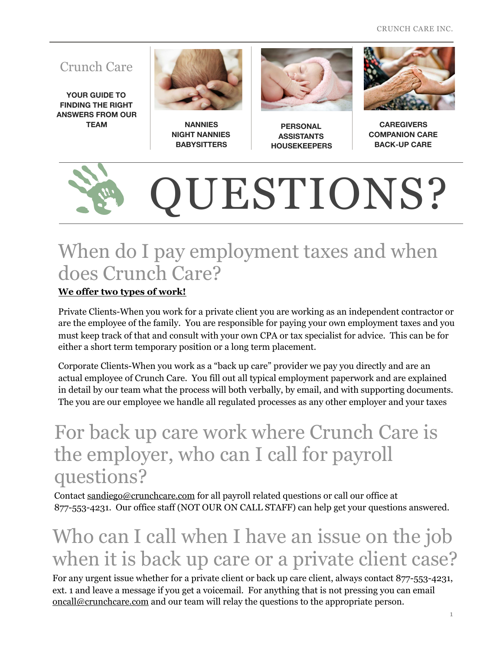CRUNCH CARE INC.

#### Crunch Care

**YOUR GUIDE TO FINDING THE RIGHT ANSWERS FROM OUR** 



**TEAM NANNIES NIGHT NANNIES BABYSITTERS** 



**PERSONAL ASSISTANTS HOUSEKEEPERS**



**CAREGIVERS COMPANION CARE BACK-UP CARE** 

# QUESTIONS?

#### When do I pay employment taxes and when does Crunch Care?

#### **We offer two types of work!**

Private Clients-When you work for a private client you are working as an independent contractor or are the employee of the family. You are responsible for paying your own employment taxes and you must keep track of that and consult with your own CPA or tax specialist for advice. This can be for either a short term temporary position or a long term placement.

Corporate Clients-When you work as a "back up care" provider we pay you directly and are an actual employee of Crunch Care. You fill out all typical employment paperwork and are explained in detail by our team what the process will both verbally, by email, and with supporting documents. The you are our employee we handle all regulated processes as any other employer and your taxes

#### For back up care work where Crunch Care is the employer, who can I call for payroll questions?

Contact [sandiego@crunchcare.com](mailto:sandiego@crunchcare.com) for all payroll related questions or call our office at 877-553-4231. Our office staff (NOT OUR ON CALL STAFF) can help get your questions answered.

### Who can I call when I have an issue on the job when it is back up care or a private client case?

For any urgent issue whether for a private client or back up care client, always contact 877-553-4231, ext. 1 and leave a message if you get a voicemail. For anything that is not pressing you can email [oncall@crunchcare.com](mailto:oncall@crunchcare.com) and our team will relay the questions to the appropriate person.